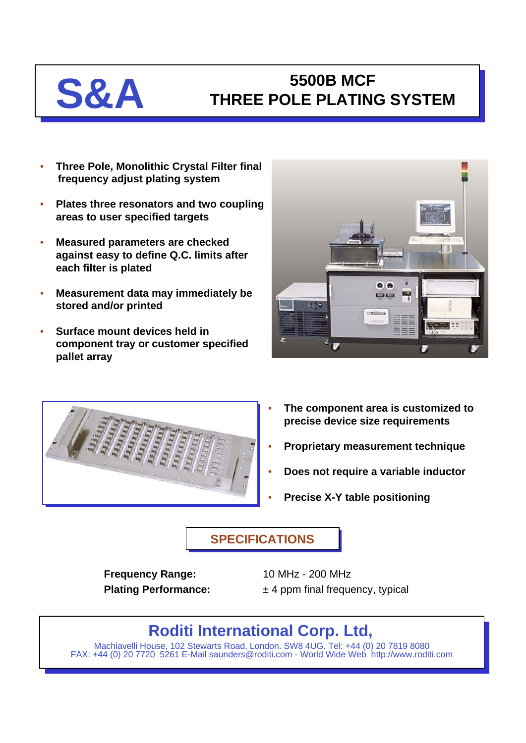## **S&A THREE POLE PLATING THREE POLE PLATING SYSTEM**

- **Three Pole, Monolithic Crystal Filter final frequency adjust plating system**
- **Plates three resonators and two coupling areas to user specified targets**
- **Measured parameters are checked against easy to define Q.C. limits after each filter is plated**
- **Measurement data may immediately be stored and/or printed**
- **Surface mount devices held in component tray or customer specified pallet array**





- **The component area is customized to precise device size requirements**
- **Proprietary measurement technique**
- **Does not require a variable inductor**
- **Precise X-Y table positioning**

## **SPECIFICATIONS**

**Frequency Range:** 10 MHz - 200 MHz

**Plating Performance:**  $\pm 4$  ppm final frequency, typical

# **Roditi International Corp. Ltd,**

Machiavelli House, 102 Stewarts Road, London. SW8 4UG. Tel: +44 (0) 20 7819 8080 FAX: +44 (0) 20 7720 5261 E-Mail saunders@roditi.com - World Wide Web http://www.roditi.com